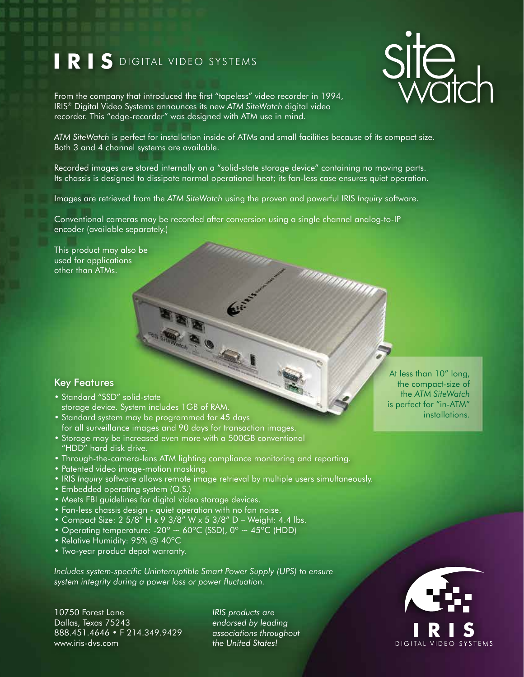## **IRIS** DIGITAL VIDEO SYSTEMS



From the company that introduced the first "tapeless" video recorder in 1994, IRIS® Digital Video Systems announces its new *ATM SiteWatch* digital video recorder. This "edge-recorder" was designed with ATM use in mind.

*ATM SiteWatch* is perfect for installation inside of ATMs and small facilities because of its compact size. Both 3 and 4 channel systems are available.

Recorded images are stored internally on a "solid-state storage device" containing no moving parts. Its chassis is designed to dissipate normal operational heat; its fan-less case ensures quiet operation.

<sup>annonom</sup>

Images are retrieved from the *ATM SiteWatch* using the proven and powerful IRIS *Inquiry* software.

Conventional cameras may be recorded after conversion using a single channel analog-to-IP encoder (available separately.)

This product may also be used for applications other than ATMs.

## Key Features

- Standard "SSD" solid-state storage device. System includes 1GB of RAM.
- Standard system may be programmed for 45 days for all surveillance images and 90 days for transaction images.
- Storage may be increased even more with a 500GB conventional "HDD" hard disk drive.
- Through-the-camera-lens ATM lighting compliance monitoring and reporting.
- Patented video image-motion masking.
- IRIS *Inquiry* software allows remote image retrieval by multiple users simultaneously.
- Embedded operating system (O.S.)
- Meets FBI guidelines for digital video storage devices.
- Fan-less chassis design quiet operation with no fan noise.
- Compact Size: 2 5/8" H x 9 3/8" W x 5 3/8" D Weight: 4.4 lbs.
- Operating temperature:  $-20^{\circ} \sim 60^{\circ}$ C (SSD), 0°  $\sim 45^{\circ}$ C (HDD)
- Relative Humidity: 95% @ 40°C
- Two-year product depot warranty.

*Includes system-specific Uninterruptible Smart Power Supply (UPS) to ensure system integrity during a power loss or power fluctuation.*

10750 Forest Lane Dallas, Texas 75243 888.451.4646 • F 214.349.9429 www.iris-dvs.com

*IRIS products are endorsed by leading associations throughout the United States!*

At less than 10" long, the compact-size of the *ATM SiteWatch* is perfect for "in-ATM" installations.